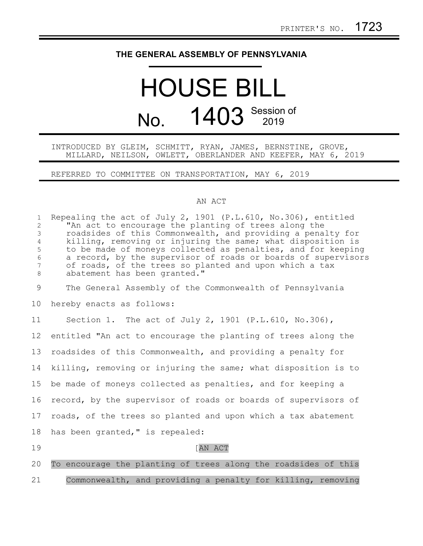## **THE GENERAL ASSEMBLY OF PENNSYLVANIA**

## HOUSE BILL No. 1403 Session of

INTRODUCED BY GLEIM, SCHMITT, RYAN, JAMES, BERNSTINE, GROVE, MILLARD, NEILSON, OWLETT, OBERLANDER AND KEEFER, MAY 6, 2019

REFERRED TO COMMITTEE ON TRANSPORTATION, MAY 6, 2019

## AN ACT

| $\mathbf 1$<br>$\overline{2}$<br>3<br>$\overline{4}$<br>5<br>6<br>7<br>8 | Repealing the act of July 2, 1901 (P.L.610, No.306), entitled<br>"An act to encourage the planting of trees along the<br>roadsides of this Commonwealth, and providing a penalty for<br>killing, removing or injuring the same; what disposition is<br>to be made of moneys collected as penalties, and for keeping<br>a record, by the supervisor of roads or boards of supervisors<br>of roads, of the trees so planted and upon which a tax<br>abatement has been granted." |
|--------------------------------------------------------------------------|--------------------------------------------------------------------------------------------------------------------------------------------------------------------------------------------------------------------------------------------------------------------------------------------------------------------------------------------------------------------------------------------------------------------------------------------------------------------------------|
| 9                                                                        | The General Assembly of the Commonwealth of Pennsylvania                                                                                                                                                                                                                                                                                                                                                                                                                       |
| 10                                                                       | hereby enacts as follows:                                                                                                                                                                                                                                                                                                                                                                                                                                                      |
| 11                                                                       | Section 1. The act of July 2, 1901 (P.L.610, No.306),                                                                                                                                                                                                                                                                                                                                                                                                                          |
| $12 \overline{ }$                                                        | entitled "An act to encourage the planting of trees along the                                                                                                                                                                                                                                                                                                                                                                                                                  |
| 13                                                                       | roadsides of this Commonwealth, and providing a penalty for                                                                                                                                                                                                                                                                                                                                                                                                                    |
| 14                                                                       | killing, removing or injuring the same; what disposition is to                                                                                                                                                                                                                                                                                                                                                                                                                 |
| 15                                                                       | be made of moneys collected as penalties, and for keeping a                                                                                                                                                                                                                                                                                                                                                                                                                    |
| 16                                                                       | record, by the supervisor of roads or boards of supervisors of                                                                                                                                                                                                                                                                                                                                                                                                                 |
| 17                                                                       | roads, of the trees so planted and upon which a tax abatement                                                                                                                                                                                                                                                                                                                                                                                                                  |
| 18                                                                       | has been granted, " is repealed:                                                                                                                                                                                                                                                                                                                                                                                                                                               |
| 19                                                                       | [AN ACT                                                                                                                                                                                                                                                                                                                                                                                                                                                                        |
| 20                                                                       | To encourage the planting of trees along the roadsides of this                                                                                                                                                                                                                                                                                                                                                                                                                 |
| 21                                                                       | Commonwealth, and providing a penalty for killing, removing                                                                                                                                                                                                                                                                                                                                                                                                                    |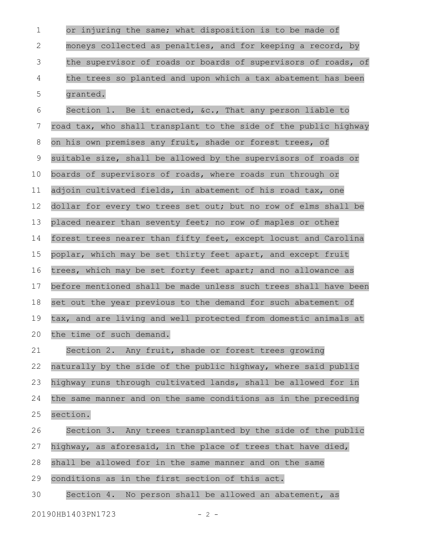or injuring the same; what disposition is to be made of moneys collected as penalties, and for keeping a record, by the supervisor of roads or boards of supervisors of roads, of the trees so planted and upon which a tax abatement has been granted. Section 1. Be it enacted, &c., That any person liable to road tax, who shall transplant to the side of the public highway on his own premises any fruit, shade or forest trees, of suitable size, shall be allowed by the supervisors of roads or boards of supervisors of roads, where roads run through or adjoin cultivated fields, in abatement of his road tax, one dollar for every two trees set out; but no row of elms shall be placed nearer than seventy feet; no row of maples or other forest trees nearer than fifty feet, except locust and Carolina poplar, which may be set thirty feet apart, and except fruit trees, which may be set forty feet apart; and no allowance as before mentioned shall be made unless such trees shall have been set out the year previous to the demand for such abatement of tax, and are living and well protected from domestic animals at the time of such demand. Section 2. Any fruit, shade or forest trees growing naturally by the side of the public highway, where said public highway runs through cultivated lands, shall be allowed for in the same manner and on the same conditions as in the preceding section. Section 3. Any trees transplanted by the side of the public highway, as aforesaid, in the place of trees that have died, shall be allowed for in the same manner and on the same conditions as in the first section of this act. Section 4. No person shall be allowed an abatement, as 1 2 3 4 5 6 7 8 9 10 11 12 13 14 15 16 17 18 19 20 21 22 23 24 25 26 27 28 29 30

20190HB1403PN1723 - 2 -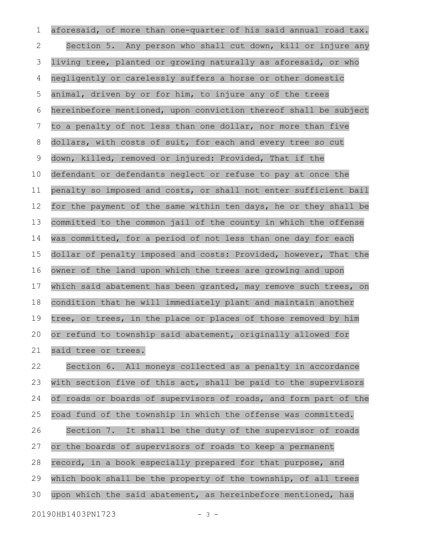aforesaid, of more than one-quarter of his said annual road tax. Section 5. Any person who shall cut down, kill or injure any living tree, planted or growing naturally as aforesaid, or who negligently or carelessly suffers a horse or other domestic animal, driven by or for him, to injure any of the trees hereinbefore mentioned, upon conviction thereof shall be subject to a penalty of not less than one dollar, nor more than five dollars, with costs of suit, for each and every tree so cut down, killed, removed or injured: Provided, That if the defendant or defendants neglect or refuse to pay at once the penalty so imposed and costs, or shall not enter sufficient bail for the payment of the same within ten days, he or they shall be committed to the common jail of the county in which the offense was committed, for a period of not less than one day for each dollar of penalty imposed and costs: Provided, however, That the owner of the land upon which the trees are growing and upon which said abatement has been granted, may remove such trees, on condition that he will immediately plant and maintain another tree, or trees, in the place or places of those removed by him or refund to township said abatement, originally allowed for said tree or trees. 1 2 3 4 5 6 7 8 9 10 11 12 13 14 15 16 17 18 19 20 21

Section 6. All moneys collected as a penalty in accordance with section five of this act, shall be paid to the supervisors of roads or boards of supervisors of roads, and form part of the road fund of the township in which the offense was committed. Section 7. It shall be the duty of the supervisor of roads or the boards of supervisors of roads to keep a permanent record, in a book especially prepared for that purpose, and which book shall be the property of the township, of all trees upon which the said abatement, as hereinbefore mentioned, has 22 23 24 25 26 27 28 29 30

20190HB1403PN1723 - 3 -